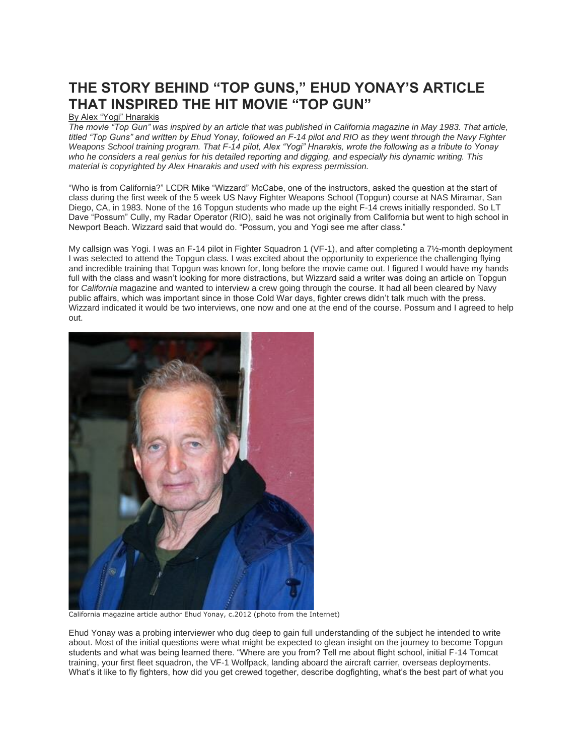## **THE STORY BEHIND "TOP GUNS," EHUD YONAY'S ARTICLE THAT INSPIRED THE HIT MOVIE "TOP GUN"**

## By Alex "Yogi" Hnarakis

*The movie "Top Gun" was inspired by an article that was published in California magazine in May 1983. That article,*  titled "Top Guns" and written by Ehud Yonay, followed an F-14 pilot and RIO as they went through the Navy Fighter *Weapons School training program. That F-14 pilot, Alex "Yogi" Hnarakis, wrote the following as a tribute to Yonay who he considers a real genius for his detailed reporting and digging, and especially his dynamic writing. This material is copyrighted by Alex Hnarakis and used with his express permission.*

"Who is from California?" LCDR Mike "Wizzard" McCabe, one of the instructors, asked the question at the start of class during the first week of the 5 week US Navy Fighter Weapons School (Topgun) course at NAS Miramar, San Diego, CA, in 1983. None of the 16 Topgun students who made up the eight F-14 crews initially responded. So LT Dave "Possum" Cully, my Radar Operator (RIO), said he was not originally from California but went to high school in Newport Beach. Wizzard said that would do. "Possum, you and Yogi see me after class."

My callsign was Yogi. I was an F-14 pilot in Fighter Squadron 1 (VF-1), and after completing a 7½-month deployment I was selected to attend the Topgun class. I was excited about the opportunity to experience the challenging flying and incredible training that Topgun was known for, long before the movie came out. I figured I would have my hands full with the class and wasn't looking for more distractions, but Wizzard said a writer was doing an article on Topgun for *California* magazine and wanted to interview a crew going through the course. It had all been cleared by Navy public affairs, which was important since in those Cold War days, fighter crews didn't talk much with the press. Wizzard indicated it would be two interviews, one now and one at the end of the course. Possum and I agreed to help out.



California magazine article author Ehud Yonay, c.2012 (photo from the Internet)

Ehud Yonay was a probing interviewer who dug deep to gain full understanding of the subject he intended to write about. Most of the initial questions were what might be expected to glean insight on the journey to become Topgun students and what was being learned there. "Where are you from? Tell me about flight school, initial F-14 Tomcat training, your first fleet squadron, the VF-1 Wolfpack, landing aboard the aircraft carrier, overseas deployments. What's it like to fly fighters, how did you get crewed together, describe dogfighting, what's the best part of what you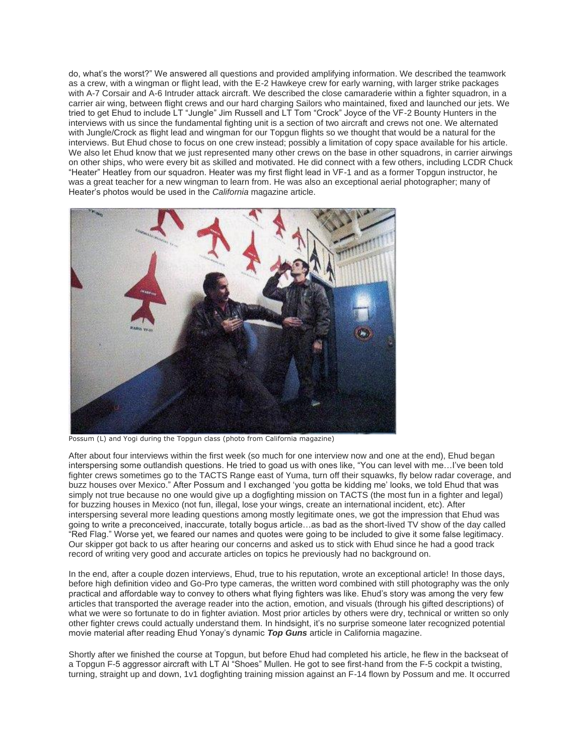do, what's the worst?" We answered all questions and provided amplifying information. We described the teamwork as a crew, with a wingman or flight lead, with the E-2 Hawkeye crew for early warning, with larger strike packages with A-7 Corsair and A-6 Intruder attack aircraft. We described the close camaraderie within a fighter squadron, in a carrier air wing, between flight crews and our hard charging Sailors who maintained, fixed and launched our jets. We tried to get Ehud to include LT "Jungle" Jim Russell and LT Tom "Crock" Joyce of the VF-2 Bounty Hunters in the interviews with us since the fundamental fighting unit is a section of two aircraft and crews not one. We alternated with Jungle/Crock as flight lead and wingman for our Topgun flights so we thought that would be a natural for the interviews. But Ehud chose to focus on one crew instead; possibly a limitation of copy space available for his article. We also let Ehud know that we just represented many other crews on the base in other squadrons, in carrier airwings on other ships, who were every bit as skilled and motivated. He did connect with a few others, including LCDR Chuck "Heater" Heatley from our squadron. Heater was my first flight lead in VF-1 and as a former Topgun instructor, he was a great teacher for a new wingman to learn from. He was also an exceptional aerial photographer; many of Heater's photos would be used in the *California* magazine article.



Possum (L) and Yogi during the Topgun class (photo from California magazine)

After about four interviews within the first week (so much for one interview now and one at the end), Ehud began interspersing some outlandish questions. He tried to goad us with ones like, "You can level with me…I've been told fighter crews sometimes go to the TACTS Range east of Yuma, turn off their squawks, fly below radar coverage, and buzz houses over Mexico." After Possum and I exchanged 'you gotta be kidding me' looks, we told Ehud that was simply not true because no one would give up a dogfighting mission on TACTS (the most fun in a fighter and legal) for buzzing houses in Mexico (not fun, illegal, lose your wings, create an international incident, etc). After interspersing several more leading questions among mostly legitimate ones, we got the impression that Ehud was going to write a preconceived, inaccurate, totally bogus article…as bad as the short-lived TV show of the day called "Red Flag." Worse yet, we feared our names and quotes were going to be included to give it some false legitimacy. Our skipper got back to us after hearing our concerns and asked us to stick with Ehud since he had a good track record of writing very good and accurate articles on topics he previously had no background on.

In the end, after a couple dozen interviews, Ehud, true to his reputation, wrote an exceptional article! In those days, before high definition video and Go-Pro type cameras, the written word combined with still photography was the only practical and affordable way to convey to others what flying fighters was like. Ehud's story was among the very few articles that transported the average reader into the action, emotion, and visuals (through his gifted descriptions) of what we were so fortunate to do in fighter aviation. Most prior articles by others were dry, technical or written so only other fighter crews could actually understand them. In hindsight, it's no surprise someone later recognized potential movie material after reading Ehud Yonay's dynamic *Top Guns* article in California magazine.

Shortly after we finished the course at Topgun, but before Ehud had completed his article, he flew in the backseat of a Topgun F-5 aggressor aircraft with LT Al "Shoes" Mullen. He got to see first-hand from the F-5 cockpit a twisting, turning, straight up and down, 1v1 dogfighting training mission against an F-14 flown by Possum and me. It occurred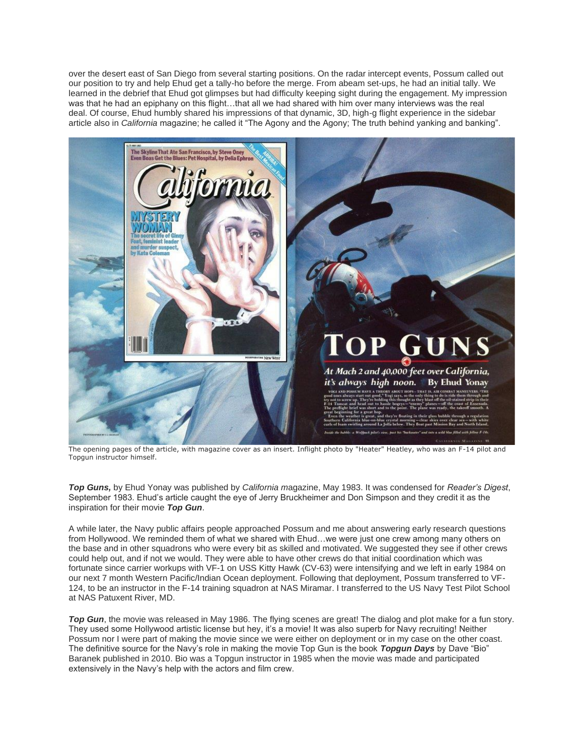over the desert east of San Diego from several starting positions. On the radar intercept events, Possum called out our position to try and help Ehud get a tally-ho before the merge. From abeam set-ups, he had an initial tally. We learned in the debrief that Ehud got glimpses but had difficulty keeping sight during the engagement. My impression was that he had an epiphany on this flight...that all we had shared with him over many interviews was the real deal. Of course, Ehud humbly shared his impressions of that dynamic, 3D, high-g flight experience in the sidebar article also in *California* magazine; he called it "The Agony and the Agony; The truth behind yanking and banking".



The opening pages of the article, with magazine cover as an insert. Inflight photo by "Heater" Heatley, who was an F-14 pilot and Topgun instructor himself.

*Top Guns,* by Ehud Yonay was published by *California m*agazine, May 1983. It was condensed for *Reader's Digest*, September 1983. Ehud's article caught the eye of Jerry Bruckheimer and Don Simpson and they credit it as the inspiration for their movie *Top Gun*.

A while later, the Navy public affairs people approached Possum and me about answering early research questions from Hollywood. We reminded them of what we shared with Ehud…we were just one crew among many others on the base and in other squadrons who were every bit as skilled and motivated. We suggested they see if other crews could help out, and if not we would. They were able to have other crews do that initial coordination which was fortunate since carrier workups with VF-1 on USS Kitty Hawk (CV-63) were intensifying and we left in early 1984 on our next 7 month Western Pacific/Indian Ocean deployment. Following that deployment, Possum transferred to VF-124, to be an instructor in the F-14 training squadron at NAS Miramar. I transferred to the US Navy Test Pilot School at NAS Patuxent River, MD.

*Top Gun*, the movie was released in May 1986. The flying scenes are great! The dialog and plot make for a fun story. They used some Hollywood artistic license but hey, it's a movie! It was also superb for Navy recruiting! Neither Possum nor I were part of making the movie since we were either on deployment or in my case on the other coast. The definitive source for the Navy's role in making the movie Top Gun is the book *Topgun Days* by Dave "Bio" Baranek published in 2010. Bio was a Topgun instructor in 1985 when the movie was made and participated extensively in the Navy's help with the actors and film crew.